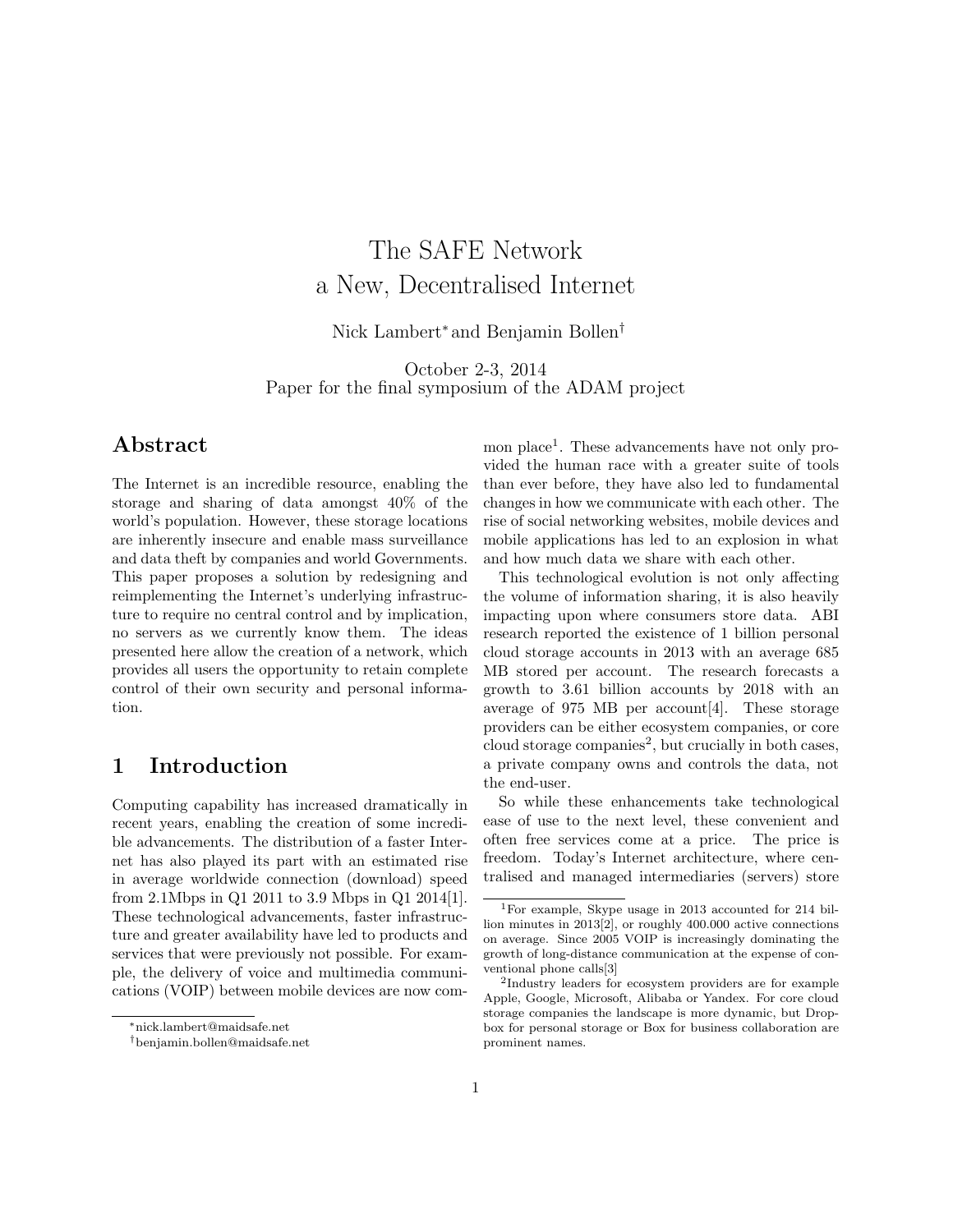# The SAFE Network a New, Decentralised Internet

Nick Lambert<sup>\*</sup> and Benjamin Bollen<sup>†</sup>

October 2-3, 2014 Paper for the final symposium of the ADAM project

## Abstract

The Internet is an incredible resource, enabling the storage and sharing of data amongst 40% of the world's population. However, these storage locations are inherently insecure and enable mass surveillance and data theft by companies and world Governments. This paper proposes a solution by redesigning and reimplementing the Internet's underlying infrastructure to require no central control and by implication, no servers as we currently know them. The ideas presented here allow the creation of a network, which provides all users the opportunity to retain complete control of their own security and personal information.

## 1 Introduction

Computing capability has increased dramatically in recent years, enabling the creation of some incredible advancements. The distribution of a faster Internet has also played its part with an estimated rise in average worldwide connection (download) speed from 2.1Mbps in Q1 2011 to 3.9 Mbps in Q1 2014[\[1\]](#page-7-0). These technological advancements, faster infrastructure and greater availability have led to products and services that were previously not possible. For example, the delivery of voice and multimedia communications (VOIP) between mobile devices are now common place<sup>[1](#page-0-0)</sup>. These advancements have not only provided the human race with a greater suite of tools than ever before, they have also led to fundamental changes in how we communicate with each other. The rise of social networking websites, mobile devices and mobile applications has led to an explosion in what and how much data we share with each other.

This technological evolution is not only affecting the volume of information sharing, it is also heavily impacting upon where consumers store data. ABI research reported the existence of 1 billion personal cloud storage accounts in 2013 with an average 685 MB stored per account. The research forecasts a growth to 3.61 billion accounts by 2018 with an average of  $975$  MB per account [\[4\]](#page-7-1). These storage providers can be either ecosystem companies, or core  $cloud\ storage\ companies^2$  $cloud\ storage\ companies^2$ , but crucially in both cases, a private company owns and controls the data, not the end-user.

So while these enhancements take technological ease of use to the next level, these convenient and often free services come at a price. The price is freedom. Today's Internet architecture, where centralised and managed intermediaries (servers) store

<sup>⇤</sup>nick.lambert@maidsafe.net

*<sup>†</sup>*benjamin.bollen@maidsafe.net

<span id="page-0-0"></span><sup>1</sup>For example, Skype usage in 2013 accounted for 214 billion minutes in 2013[\[2\]](#page-7-2), or roughly 400.000 active connections on average. Since 2005 VOIP is increasingly dominating the growth of long-distance communication at the expense of conventional phone calls[\[3\]](#page-7-3)

<span id="page-0-1"></span><sup>2</sup>Industry leaders for ecosystem providers are for example Apple, Google, Microsoft, Alibaba or Yandex. For core cloud storage companies the landscape is more dynamic, but Dropbox for personal storage or Box for business collaboration are prominent names.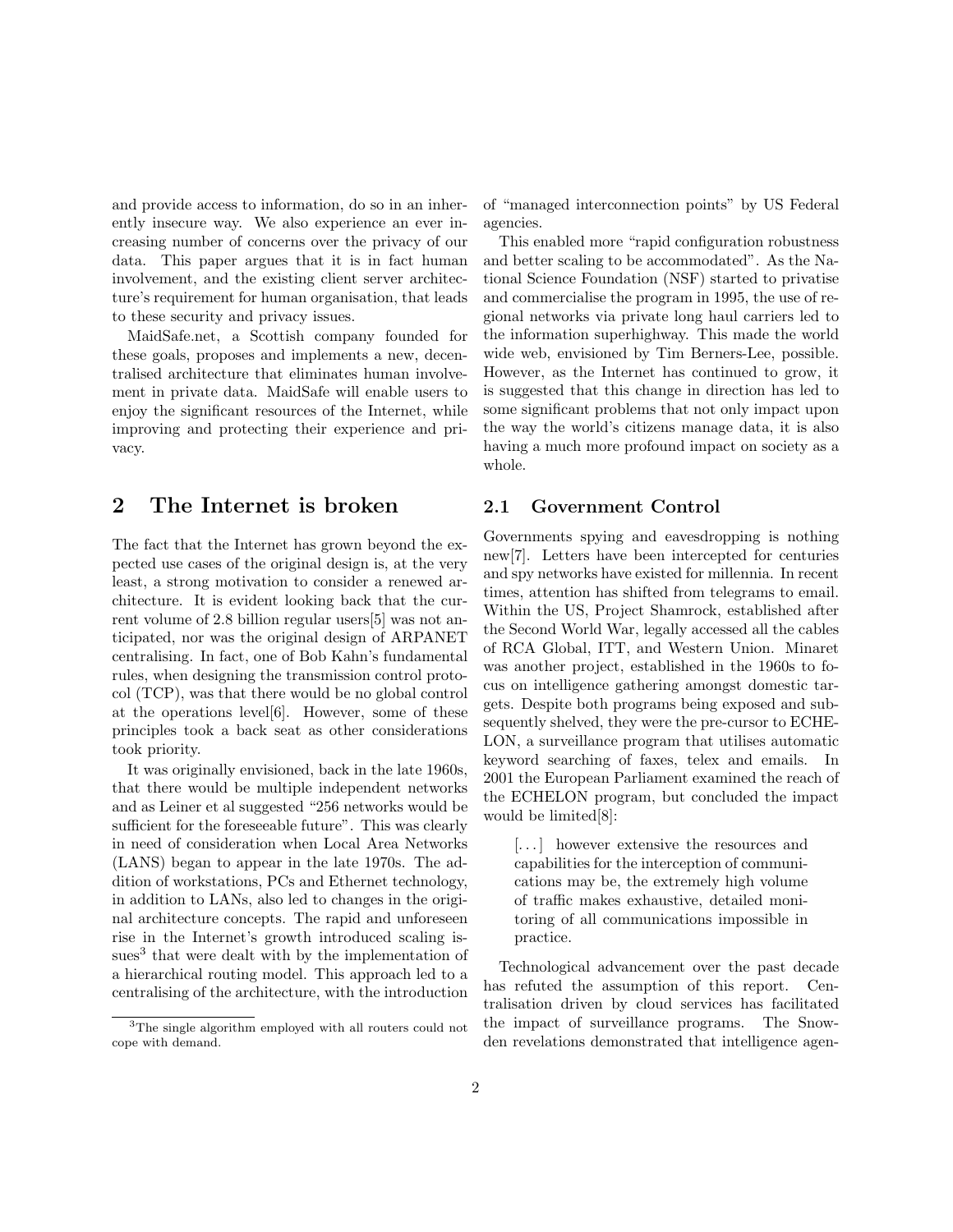and provide access to information, do so in an inherently insecure way. We also experience an ever increasing number of concerns over the privacy of our data. This paper argues that it is in fact human involvement, and the existing client server architecture's requirement for human organisation, that leads to these security and privacy issues.

MaidSafe.net, a Scottish company founded for these goals, proposes and implements a new, decentralised architecture that eliminates human involvement in private data. MaidSafe will enable users to enjoy the significant resources of the Internet, while improving and protecting their experience and privacy.

### 2 The Internet is broken

The fact that the Internet has grown beyond the expected use cases of the original design is, at the very least, a strong motivation to consider a renewed architecture. It is evident looking back that the current volume of 2.8 billion regular users[\[5\]](#page-7-4) was not anticipated, nor was the original design of ARPANET centralising. In fact, one of Bob Kahn's fundamental rules, when designing the transmission control protocol (TCP), was that there would be no global control at the operations level[\[6\]](#page-7-5). However, some of these principles took a back seat as other considerations took priority.

It was originally envisioned, back in the late 1960s, that there would be multiple independent networks and as Leiner et al suggested "256 networks would be sufficient for the foreseeable future". This was clearly in need of consideration when Local Area Networks (LANS) began to appear in the late 1970s. The addition of workstations, PCs and Ethernet technology, in addition to LANs, also led to changes in the original architecture concepts. The rapid and unforeseen rise in the Internet's growth introduced scaling is-sues<sup>[3](#page-1-0)</sup> that were dealt with by the implementation of a hierarchical routing model. This approach led to a centralising of the architecture, with the introduction

of "managed interconnection points" by US Federal agencies.

This enabled more "rapid configuration robustness and better scaling to be accommodated". As the National Science Foundation (NSF) started to privatise and commercialise the program in 1995, the use of regional networks via private long haul carriers led to the information superhighway. This made the world wide web, envisioned by Tim Berners-Lee, possible. However, as the Internet has continued to grow, it is suggested that this change in direction has led to some significant problems that not only impact upon the way the world's citizens manage data, it is also having a much more profound impact on society as a whole.

### 2.1 Government Control

Governments spying and eavesdropping is nothing new[\[7\]](#page-7-6). Letters have been intercepted for centuries and spy networks have existed for millennia. In recent times, attention has shifted from telegrams to email. Within the US, Project Shamrock, established after the Second World War, legally accessed all the cables of RCA Global, ITT, and Western Union. Minaret was another project, established in the 1960s to focus on intelligence gathering amongst domestic targets. Despite both programs being exposed and subsequently shelved, they were the pre-cursor to ECHE-LON, a surveillance program that utilises automatic keyword searching of faxes, telex and emails. In 2001 the European Parliament examined the reach of the ECHELON program, but concluded the impact would be limited[\[8\]](#page-8-0):

[. . . ] however extensive the resources and capabilities for the interception of communications may be, the extremely high volume of traffic makes exhaustive, detailed monitoring of all communications impossible in practice.

Technological advancement over the past decade has refuted the assumption of this report. Centralisation driven by cloud services has facilitated the impact of surveillance programs. The Snowden revelations demonstrated that intelligence agen-

<span id="page-1-0"></span><sup>&</sup>lt;sup>3</sup>The single algorithm employed with all routers could not cope with demand.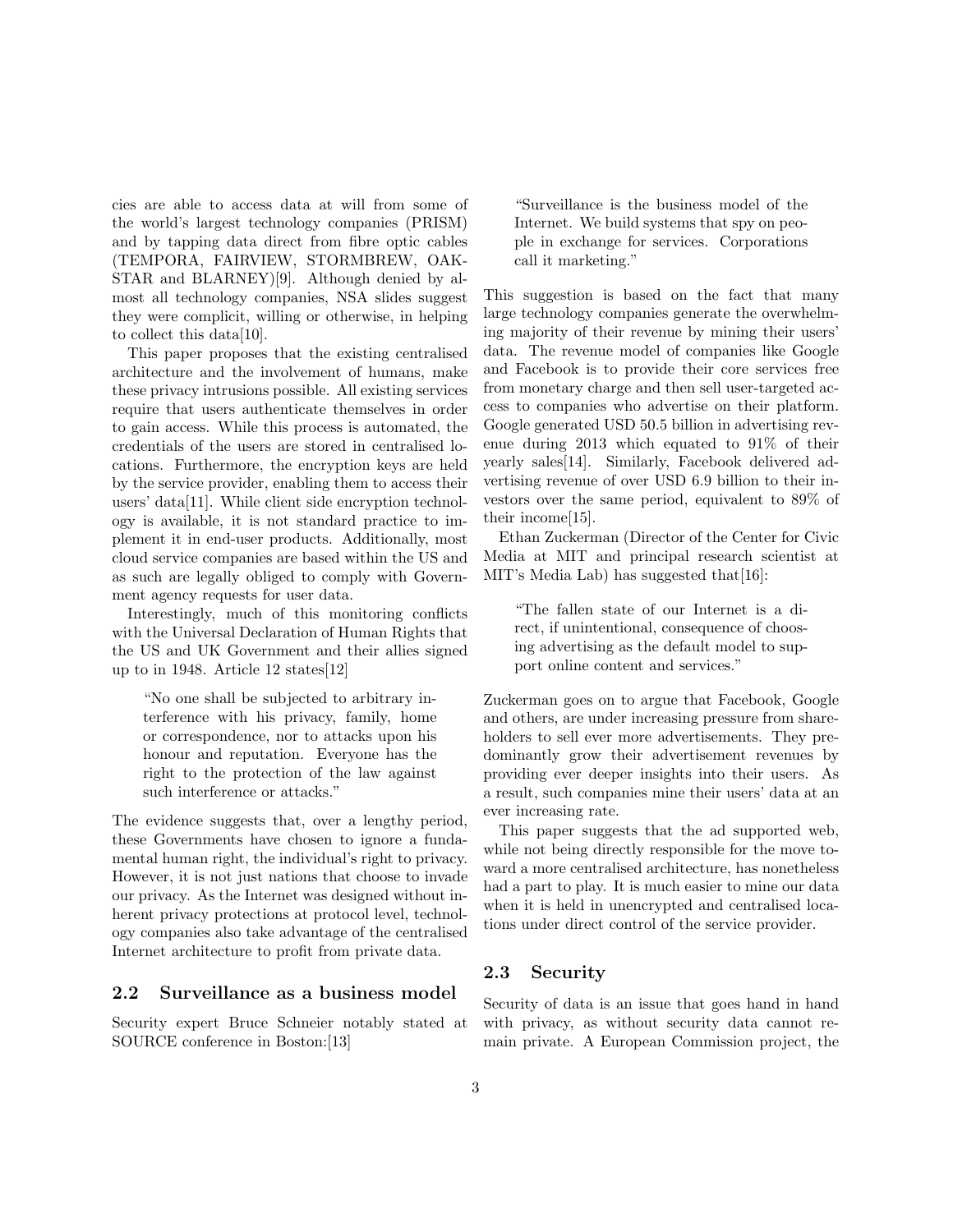cies are able to access data at will from some of the world's largest technology companies (PRISM) and by tapping data direct from fibre optic cables (TEMPORA, FAIRVIEW, STORMBREW, OAK-STAR and BLARNEY)[\[9\]](#page-8-1). Although denied by almost all technology companies, NSA slides suggest they were complicit, willing or otherwise, in helping to collect this data[\[10\]](#page-8-2).

This paper proposes that the existing centralised architecture and the involvement of humans, make these privacy intrusions possible. All existing services require that users authenticate themselves in order to gain access. While this process is automated, the credentials of the users are stored in centralised locations. Furthermore, the encryption keys are held by the service provider, enabling them to access their users' data[\[11\]](#page-8-3). While client side encryption technology is available, it is not standard practice to implement it in end-user products. Additionally, most cloud service companies are based within the US and as such are legally obliged to comply with Government agency requests for user data.

Interestingly, much of this monitoring conflicts with the Universal Declaration of Human Rights that the US and UK Government and their allies signed up to in 1948. Article 12 states[\[12\]](#page-8-4)

"No one shall be subjected to arbitrary interference with his privacy, family, home or correspondence, nor to attacks upon his honour and reputation. Everyone has the right to the protection of the law against such interference or attacks."

The evidence suggests that, over a lengthy period, these Governments have chosen to ignore a fundamental human right, the individual's right to privacy. However, it is not just nations that choose to invade our privacy. As the Internet was designed without inherent privacy protections at protocol level, technology companies also take advantage of the centralised Internet architecture to profit from private data.

#### 2.2 Surveillance as a business model

Security expert Bruce Schneier notably stated at SOURCE conference in Boston:[\[13\]](#page-8-5)

"Surveillance is the business model of the Internet. We build systems that spy on people in exchange for services. Corporations call it marketing."

This suggestion is based on the fact that many large technology companies generate the overwhelming majority of their revenue by mining their users' data. The revenue model of companies like Google and Facebook is to provide their core services free from monetary charge and then sell user-targeted access to companies who advertise on their platform. Google generated USD 50.5 billion in advertising revenue during 2013 which equated to 91% of their yearly sales[\[14\]](#page-8-6). Similarly, Facebook delivered advertising revenue of over USD 6.9 billion to their investors over the same period, equivalent to 89% of their income[\[15\]](#page-8-7).

Ethan Zuckerman (Director of the Center for Civic Media at MIT and principal research scientist at MIT's Media Lab) has suggested that [\[16\]](#page-8-8):

"The fallen state of our Internet is a direct, if unintentional, consequence of choosing advertising as the default model to support online content and services."

Zuckerman goes on to argue that Facebook, Google and others, are under increasing pressure from shareholders to sell ever more advertisements. They predominantly grow their advertisement revenues by providing ever deeper insights into their users. As a result, such companies mine their users' data at an ever increasing rate.

This paper suggests that the ad supported web, while not being directly responsible for the move toward a more centralised architecture, has nonetheless had a part to play. It is much easier to mine our data when it is held in unencrypted and centralised locations under direct control of the service provider.

### 2.3 Security

Security of data is an issue that goes hand in hand with privacy, as without security data cannot remain private. A European Commission project, the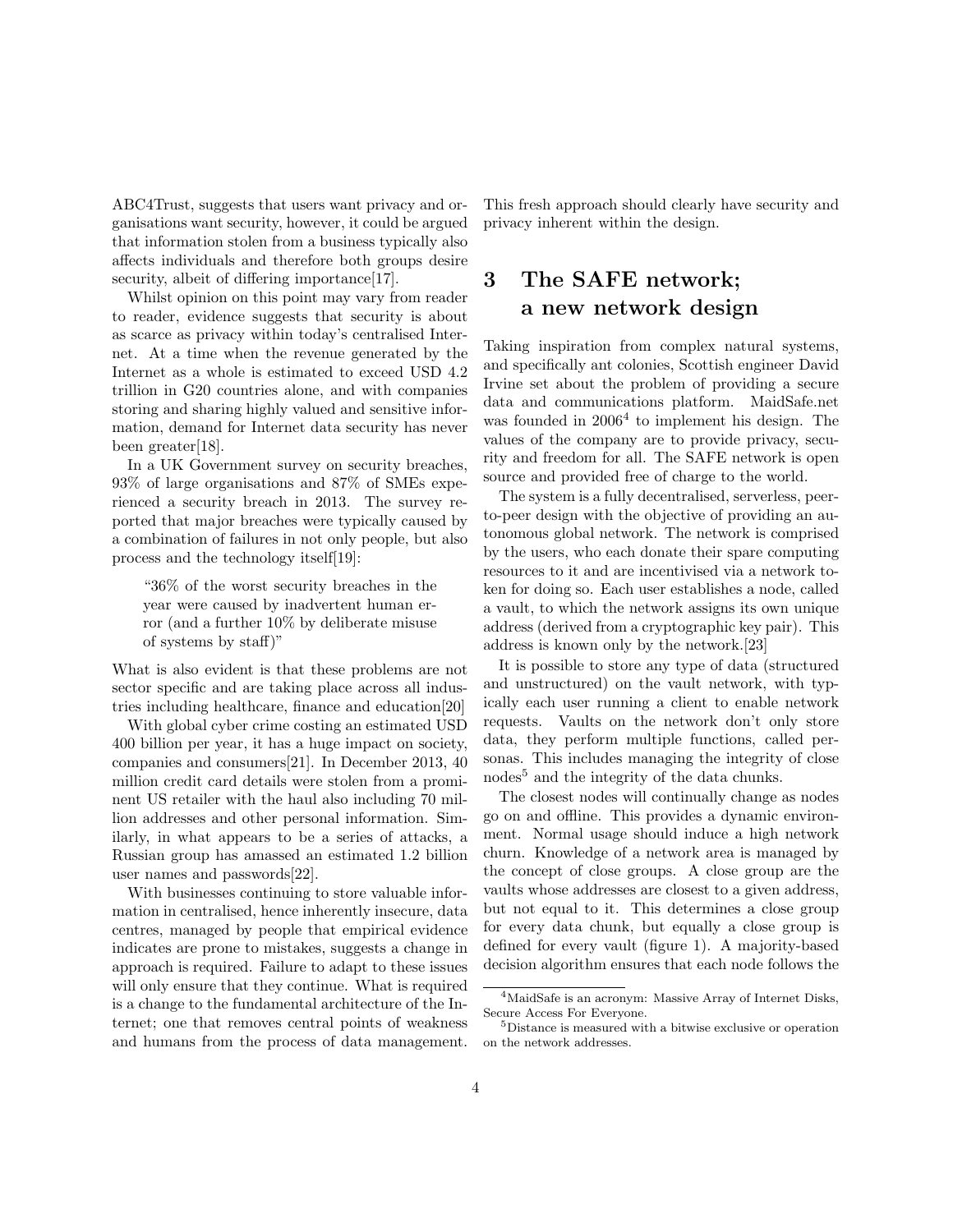ABC4Trust, suggests that users want privacy and organisations want security, however, it could be argued that information stolen from a business typically also affects individuals and therefore both groups desire security, albeit of differing importance[\[17\]](#page-8-9).

Whilst opinion on this point may vary from reader to reader, evidence suggests that security is about as scarce as privacy within today's centralised Internet. At a time when the revenue generated by the Internet as a whole is estimated to exceed USD 4.2 trillion in G20 countries alone, and with companies storing and sharing highly valued and sensitive information, demand for Internet data security has never been greater[\[18\]](#page-8-10).

In a UK Government survey on security breaches, 93% of large organisations and 87% of SMEs experienced a security breach in 2013. The survey reported that major breaches were typically caused by a combination of failures in not only people, but also process and the technology itself[\[19\]](#page-8-11):

"36% of the worst security breaches in the year were caused by inadvertent human error (and a further 10% by deliberate misuse of systems by staff)"

What is also evident is that these problems are not sector specific and are taking place across all industries including healthcare, finance and education[\[20\]](#page-8-12)

With global cyber crime costing an estimated USD 400 billion per year, it has a huge impact on society, companies and consumers[\[21\]](#page-8-13). In December 2013, 40 million credit card details were stolen from a prominent US retailer with the haul also including 70 million addresses and other personal information. Similarly, in what appears to be a series of attacks, a Russian group has amassed an estimated 1.2 billion user names and passwords[\[22\]](#page-8-14).

With businesses continuing to store valuable information in centralised, hence inherently insecure, data centres, managed by people that empirical evidence indicates are prone to mistakes, suggests a change in approach is required. Failure to adapt to these issues will only ensure that they continue. What is required is a change to the fundamental architecture of the Internet; one that removes central points of weakness and humans from the process of data management. This fresh approach should clearly have security and privacy inherent within the design.

## 3 The SAFE network; a new network design

Taking inspiration from complex natural systems, and specifically ant colonies, Scottish engineer David Irvine set about the problem of providing a secure data and communications platform. MaidSafe.net was founded in  $2006<sup>4</sup>$  $2006<sup>4</sup>$  $2006<sup>4</sup>$  to implement his design. The values of the company are to provide privacy, security and freedom for all. The SAFE network is open source and provided free of charge to the world.

The system is a fully decentralised, serverless, peerto-peer design with the objective of providing an autonomous global network. The network is comprised by the users, who each donate their spare computing resources to it and are incentivised via a network token for doing so. Each user establishes a node, called a vault, to which the network assigns its own unique address (derived from a cryptographic key pair). This address is known only by the network.[\[23\]](#page-8-15)

It is possible to store any type of data (structured and unstructured) on the vault network, with typically each user running a client to enable network requests. Vaults on the network don't only store data, they perform multiple functions, called personas. This includes managing the integrity of close nodes<sup>[5](#page-3-1)</sup> and the integrity of the data chunks.

The closest nodes will continually change as nodes go on and o✏ine. This provides a dynamic environment. Normal usage should induce a high network churn. Knowledge of a network area is managed by the concept of close groups. A close group are the vaults whose addresses are closest to a given address, but not equal to it. This determines a close group for every data chunk, but equally a close group is defined for every vault (figure 1). A majority-based decision algorithm ensures that each node follows the

<span id="page-3-0"></span><sup>4</sup>MaidSafe is an acronym: Massive Array of Internet Disks, Secure Access For Everyone.

<span id="page-3-1"></span><sup>5</sup>Distance is measured with a bitwise exclusive or operation on the network addresses.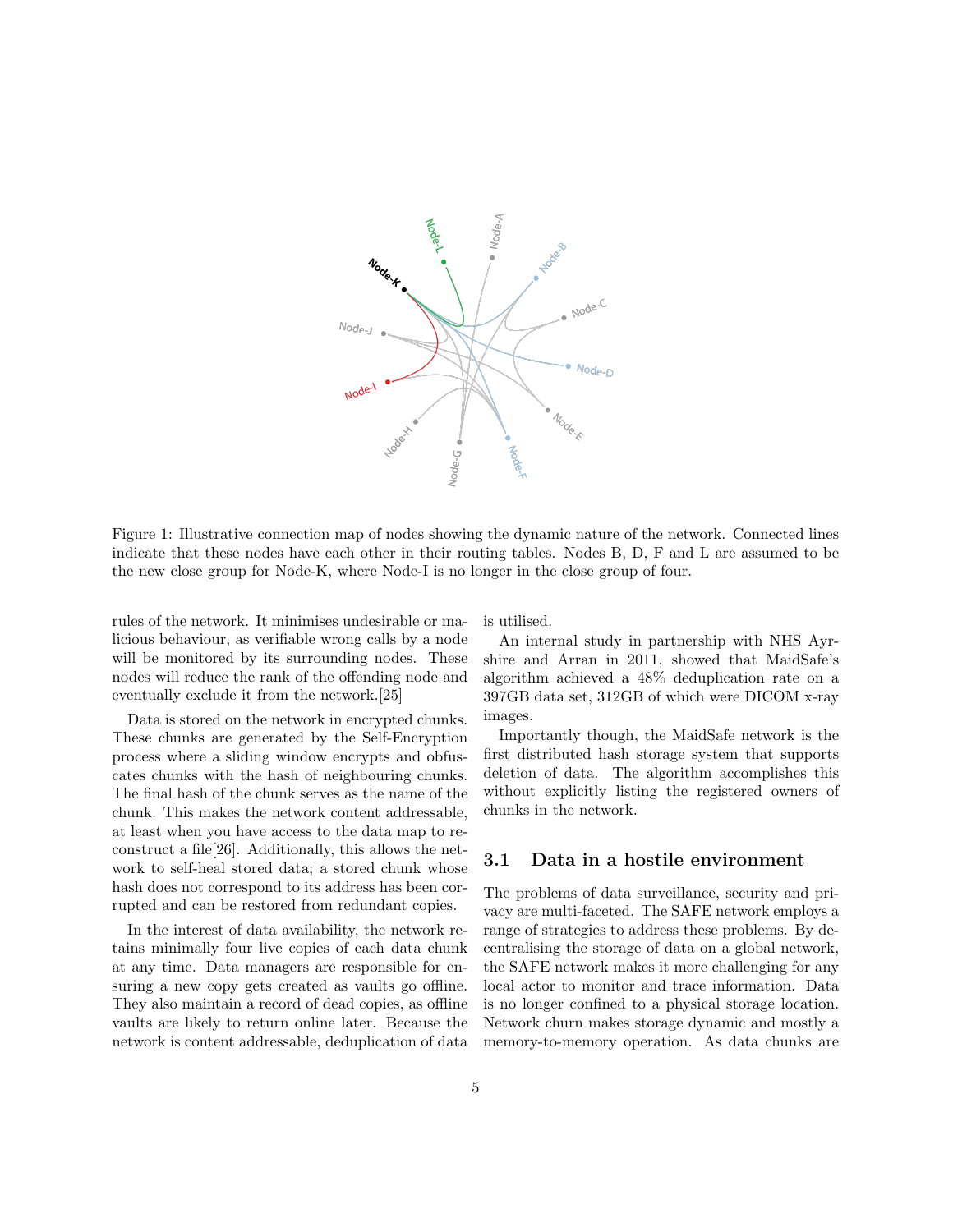

Figure 1: Illustrative connection map of nodes showing the dynamic nature of the network. Connected lines indicate that these nodes have each other in their routing tables. Nodes B, D, F and L are assumed to be the new close group for Node-K, where Node-I is no longer in the close group of four.

rules of the network. It minimises undesirable or malicious behaviour, as verifiable wrong calls by a node will be monitored by its surrounding nodes. These nodes will reduce the rank of the offending node and eventually exclude it from the network.[\[25\]](#page-8-16)

Data is stored on the network in encrypted chunks. These chunks are generated by the Self-Encryption process where a sliding window encrypts and obfuscates chunks with the hash of neighbouring chunks. The final hash of the chunk serves as the name of the chunk. This makes the network content addressable, at least when you have access to the data map to reconstruct a file[\[26\]](#page-8-17). Additionally, this allows the network to self-heal stored data; a stored chunk whose hash does not correspond to its address has been corrupted and can be restored from redundant copies.

In the interest of data availability, the network retains minimally four live copies of each data chunk at any time. Data managers are responsible for ensuring a new copy gets created as vaults go offline. They also maintain a record of dead copies, as offline vaults are likely to return online later. Because the network is content addressable, deduplication of data is utilised.

An internal study in partnership with NHS Ayrshire and Arran in 2011, showed that MaidSafe's algorithm achieved a 48% deduplication rate on a 397GB data set, 312GB of which were DICOM x-ray images.

Importantly though, the MaidSafe network is the first distributed hash storage system that supports deletion of data. The algorithm accomplishes this without explicitly listing the registered owners of chunks in the network.

#### 3.1 Data in a hostile environment

The problems of data surveillance, security and privacy are multi-faceted. The SAFE network employs a range of strategies to address these problems. By decentralising the storage of data on a global network, the SAFE network makes it more challenging for any local actor to monitor and trace information. Data is no longer confined to a physical storage location. Network churn makes storage dynamic and mostly a memory-to-memory operation. As data chunks are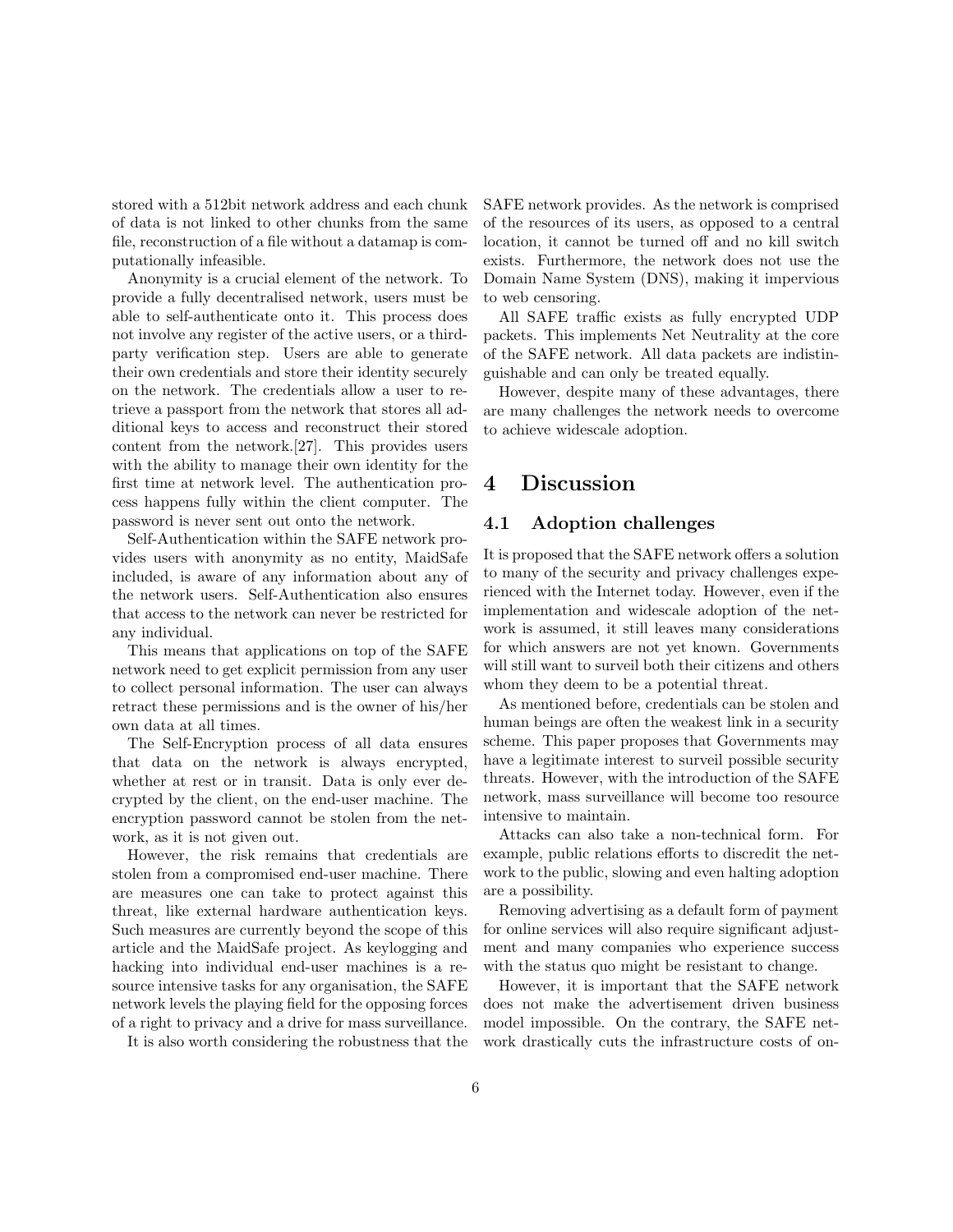stored with a 512bit network address and each chunk of data is not linked to other chunks from the same file, reconstruction of a file without a datamap is computationally infeasible.

Anonymity is a crucial element of the network. To provide a fully decentralised network, users must be able to self-authenticate onto it. This process does not involve any register of the active users, or a thirdparty verification step. Users are able to generate their own credentials and store their identity securely on the network. The credentials allow a user to retrieve a passport from the network that stores all additional keys to access and reconstruct their stored content from the network.[\[27\]](#page-8-18). This provides users with the ability to manage their own identity for the first time at network level. The authentication process happens fully within the client computer. The password is never sent out onto the network.

Self-Authentication within the SAFE network provides users with anonymity as no entity, MaidSafe included, is aware of any information about any of the network users. Self-Authentication also ensures that access to the network can never be restricted for any individual.

This means that applications on top of the SAFE network need to get explicit permission from any user to collect personal information. The user can always retract these permissions and is the owner of his/her own data at all times.

The Self-Encryption process of all data ensures that data on the network is always encrypted, whether at rest or in transit. Data is only ever decrypted by the client, on the end-user machine. The encryption password cannot be stolen from the network, as it is not given out.

However, the risk remains that credentials are stolen from a compromised end-user machine. There are measures one can take to protect against this threat, like external hardware authentication keys. Such measures are currently beyond the scope of this article and the MaidSafe project. As keylogging and hacking into individual end-user machines is a resource intensive tasks for any organisation, the SAFE network levels the playing field for the opposing forces of a right to privacy and a drive for mass surveillance.

It is also worth considering the robustness that the

SAFE network provides. As the network is comprised of the resources of its users, as opposed to a central location, it cannot be turned off and no kill switch exists. Furthermore, the network does not use the Domain Name System (DNS), making it impervious to web censoring.

All SAFE traffic exists as fully encrypted UDP packets. This implements Net Neutrality at the core of the SAFE network. All data packets are indistinguishable and can only be treated equally.

However, despite many of these advantages, there are many challenges the network needs to overcome to achieve widescale adoption.

### 4 Discussion

### 4.1 Adoption challenges

It is proposed that the SAFE network offers a solution to many of the security and privacy challenges experienced with the Internet today. However, even if the implementation and widescale adoption of the network is assumed, it still leaves many considerations for which answers are not yet known. Governments will still want to surveil both their citizens and others whom they deem to be a potential threat.

As mentioned before, credentials can be stolen and human beings are often the weakest link in a security scheme. This paper proposes that Governments may have a legitimate interest to surveil possible security threats. However, with the introduction of the SAFE network, mass surveillance will become too resource intensive to maintain.

Attacks can also take a non-technical form. For example, public relations efforts to discredit the network to the public, slowing and even halting adoption are a possibility.

Removing advertising as a default form of payment for online services will also require significant adjustment and many companies who experience success with the status quo might be resistant to change.

However, it is important that the SAFE network does not make the advertisement driven business model impossible. On the contrary, the SAFE network drastically cuts the infrastructure costs of on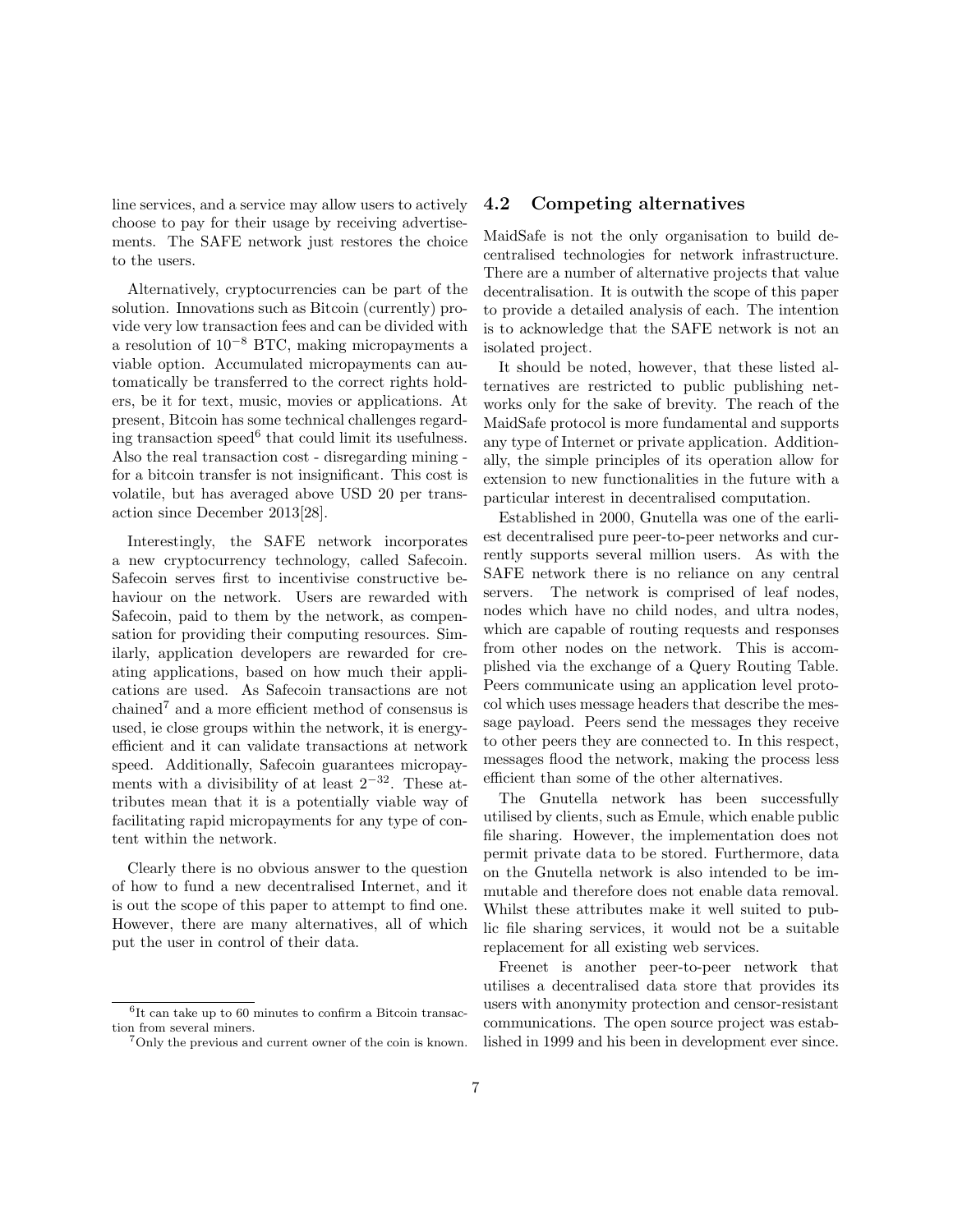line services, and a service may allow users to actively choose to pay for their usage by receiving advertisements. The SAFE network just restores the choice to the users.

Alternatively, cryptocurrencies can be part of the solution. Innovations such as Bitcoin (currently) provide very low transaction fees and can be divided with a resolution of  $10^{-8}$  BTC, making micropayments a viable option. Accumulated micropayments can automatically be transferred to the correct rights holders, be it for text, music, movies or applications. At present, Bitcoin has some technical challenges regarding transaction speed $6$  that could limit its usefulness. Also the real transaction cost - disregarding mining for a bitcoin transfer is not insignificant. This cost is volatile, but has averaged above USD 20 per transaction since December 2013[\[28\]](#page-8-19).

Interestingly, the SAFE network incorporates a new cryptocurrency technology, called Safecoin. Safecoin serves first to incentivise constructive behaviour on the network. Users are rewarded with Safecoin, paid to them by the network, as compensation for providing their computing resources. Similarly, application developers are rewarded for creating applications, based on how much their applications are used. As Safecoin transactions are not  $\text{chained}^7$  $\text{chained}^7$  and a more efficient method of consensus is used, ie close groups within the network, it is energyefficient and it can validate transactions at network speed. Additionally, Safecoin guarantees micropayments with a divisibility of at least  $2^{-32}$ . These attributes mean that it is a potentially viable way of facilitating rapid micropayments for any type of content within the network.

Clearly there is no obvious answer to the question of how to fund a new decentralised Internet, and it is out the scope of this paper to attempt to find one. However, there are many alternatives, all of which put the user in control of their data.

### 4.2 Competing alternatives

MaidSafe is not the only organisation to build decentralised technologies for network infrastructure. There are a number of alternative projects that value decentralisation. It is outwith the scope of this paper to provide a detailed analysis of each. The intention is to acknowledge that the SAFE network is not an isolated project.

It should be noted, however, that these listed alternatives are restricted to public publishing networks only for the sake of brevity. The reach of the MaidSafe protocol is more fundamental and supports any type of Internet or private application. Additionally, the simple principles of its operation allow for extension to new functionalities in the future with a particular interest in decentralised computation.

Established in 2000, Gnutella was one of the earliest decentralised pure peer-to-peer networks and currently supports several million users. As with the SAFE network there is no reliance on any central servers. The network is comprised of leaf nodes, nodes which have no child nodes, and ultra nodes, which are capable of routing requests and responses from other nodes on the network. This is accomplished via the exchange of a Query Routing Table. Peers communicate using an application level protocol which uses message headers that describe the message payload. Peers send the messages they receive to other peers they are connected to. In this respect, messages flood the network, making the process less efficient than some of the other alternatives.

The Gnutella network has been successfully utilised by clients, such as Emule, which enable public file sharing. However, the implementation does not permit private data to be stored. Furthermore, data on the Gnutella network is also intended to be immutable and therefore does not enable data removal. Whilst these attributes make it well suited to public file sharing services, it would not be a suitable replacement for all existing web services.

Freenet is another peer-to-peer network that utilises a decentralised data store that provides its users with anonymity protection and censor-resistant communications. The open source project was established in 1999 and his been in development ever since.

<span id="page-6-0"></span> $^6{\rm It}$  can take up to 60 minutes to confirm a Bitcoin transaction from several miners.

<span id="page-6-1"></span><sup>7</sup>Only the previous and current owner of the coin is known.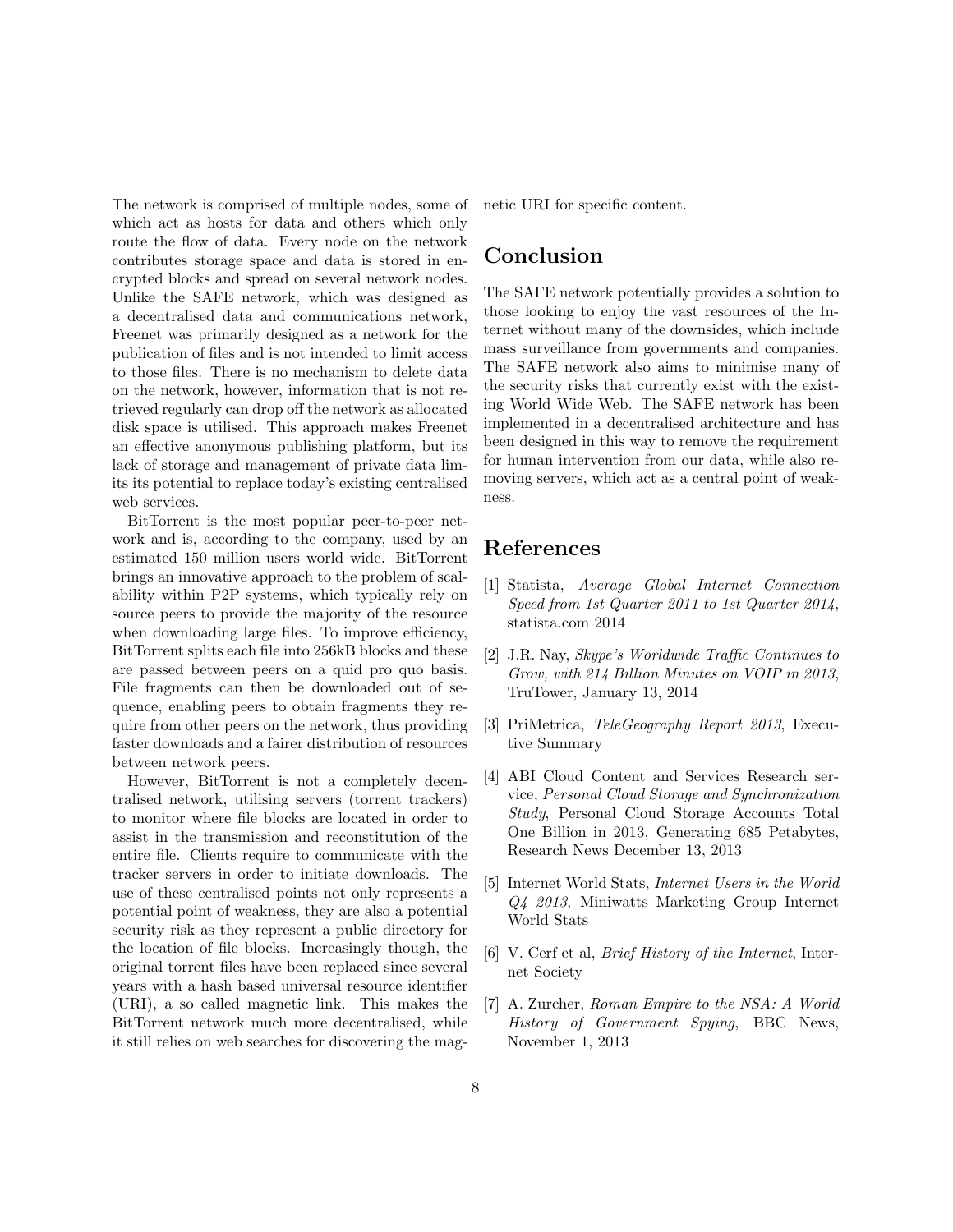The network is comprised of multiple nodes, some of which act as hosts for data and others which only route the flow of data. Every node on the network contributes storage space and data is stored in encrypted blocks and spread on several network nodes. Unlike the SAFE network, which was designed as a decentralised data and communications network, Freenet was primarily designed as a network for the publication of files and is not intended to limit access to those files. There is no mechanism to delete data on the network, however, information that is not retrieved regularly can drop off the network as allocated disk space is utilised. This approach makes Freenet an effective anonymous publishing platform, but its lack of storage and management of private data limits its potential to replace today's existing centralised web services.

BitTorrent is the most popular peer-to-peer network and is, according to the company, used by an estimated 150 million users world wide. BitTorrent brings an innovative approach to the problem of scalability within P2P systems, which typically rely on source peers to provide the majority of the resource when downloading large files. To improve efficiency, BitTorrent splits each file into 256kB blocks and these are passed between peers on a quid pro quo basis. File fragments can then be downloaded out of sequence, enabling peers to obtain fragments they require from other peers on the network, thus providing faster downloads and a fairer distribution of resources between network peers.

However, BitTorrent is not a completely decentralised network, utilising servers (torrent trackers) to monitor where file blocks are located in order to assist in the transmission and reconstitution of the entire file. Clients require to communicate with the tracker servers in order to initiate downloads. The use of these centralised points not only represents a potential point of weakness, they are also a potential security risk as they represent a public directory for the location of file blocks. Increasingly though, the original torrent files have been replaced since several years with a hash based universal resource identifier (URI), a so called magnetic link. This makes the BitTorrent network much more decentralised, while it still relies on web searches for discovering the magnetic URI for specific content.

## Conclusion

The SAFE network potentially provides a solution to those looking to enjoy the vast resources of the Internet without many of the downsides, which include mass surveillance from governments and companies. The SAFE network also aims to minimise many of the security risks that currently exist with the existing World Wide Web. The SAFE network has been implemented in a decentralised architecture and has been designed in this way to remove the requirement for human intervention from our data, while also removing servers, which act as a central point of weakness.

## References

- <span id="page-7-0"></span>[1] Statista, *Average Global Internet Connection Speed from 1st Quarter 2011 to 1st Quarter 2014*, [statista.com 2014](http://www.statista.com/statistics/204954/average-internet-connection-speed-worldwide/)
- <span id="page-7-2"></span>[2] J.R. Nay, *Skype's Worldwide Trac Continues to Grow, with 214 Billion Minutes on VOIP in 2013*, [TruTower, January 13, 2014](http://www.trutower.com/2014/01/13/skype-voip-app-calling-statistics-telegeography/)
- <span id="page-7-3"></span>[3] PriMetrica, *TeleGeography Report 2013*, [Execu](http://www.telegeography.com/page_attachments/products/website/research-services/telegeography-report-database/0004/6341/TG_executive_summary.pdf)[tive Summary](http://www.telegeography.com/page_attachments/products/website/research-services/telegeography-report-database/0004/6341/TG_executive_summary.pdf)
- <span id="page-7-1"></span>[4] ABI Cloud Content and Services Research service, *Personal Cloud Storage and Synchronization Study*, [Personal Cloud Storage Accounts Total](https://www.abiresearch.com/press/personal-cloud-storage-accounts-total-one-billion-) [One Billion in 2013, Generating 685 Petabytes,](https://www.abiresearch.com/press/personal-cloud-storage-accounts-total-one-billion-) [Research News December 13, 2013](https://www.abiresearch.com/press/personal-cloud-storage-accounts-total-one-billion-)
- <span id="page-7-4"></span>[5] Internet World Stats, *Internet Users in the World Q4 2013*, [Miniwatts Marketing Group Internet](http://www.internetworldstats.com/stats.htm) [World Stats](http://www.internetworldstats.com/stats.htm)
- <span id="page-7-5"></span>[6] V. Cerf et al, *Brief History of the Internet*, [Inter](http://www.internetsociety.org/internet/what-internet/history-internet/brief-history-internet)[net Society](http://www.internetsociety.org/internet/what-internet/history-internet/brief-history-internet)
- <span id="page-7-6"></span>[7] A. Zurcher, *Roman Empire to the NSA: A World History of Government Spying*, [BBC News,](http://www.bbc.co.uk/news/magazine-24749166) [November 1, 2013](http://www.bbc.co.uk/news/magazine-24749166)